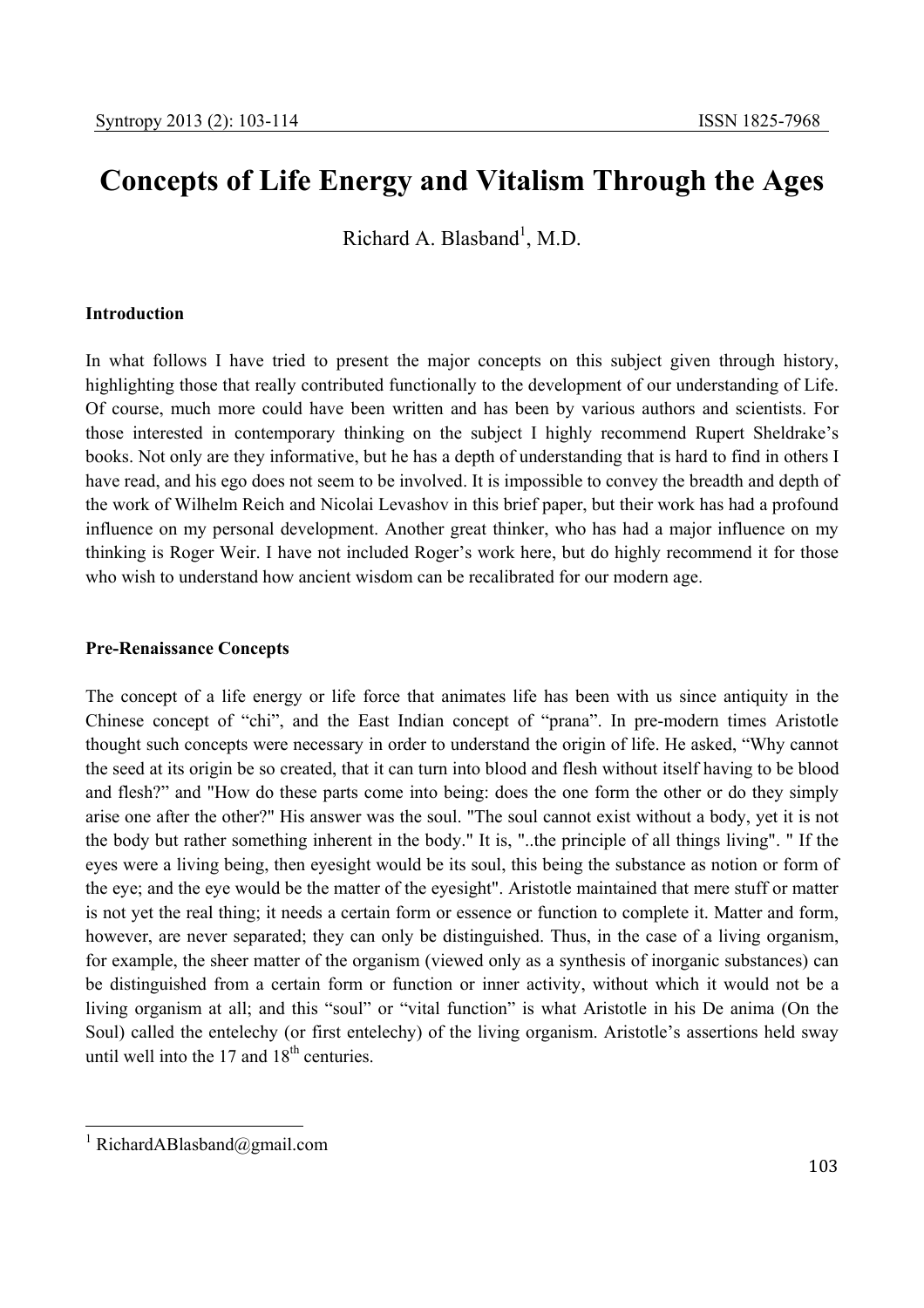# **Concepts of Life Energy and Vitalism Through the Ages**

Richard A. Blasband<sup>1</sup>, M.D.

## **Introduction**

In what follows I have tried to present the major concepts on this subject given through history, highlighting those that really contributed functionally to the development of our understanding of Life. Of course, much more could have been written and has been by various authors and scientists. For those interested in contemporary thinking on the subject I highly recommend Rupert Sheldrake's books. Not only are they informative, but he has a depth of understanding that is hard to find in others I have read, and his ego does not seem to be involved. It is impossible to convey the breadth and depth of the work of Wilhelm Reich and Nicolai Levashov in this brief paper, but their work has had a profound influence on my personal development. Another great thinker, who has had a major influence on my thinking is Roger Weir. I have not included Roger's work here, but do highly recommend it for those who wish to understand how ancient wisdom can be recalibrated for our modern age.

## **Pre-Renaissance Concepts**

The concept of a life energy or life force that animates life has been with us since antiquity in the Chinese concept of "chi", and the East Indian concept of "prana". In pre-modern times Aristotle thought such concepts were necessary in order to understand the origin of life. He asked, "Why cannot the seed at its origin be so created, that it can turn into blood and flesh without itself having to be blood and flesh?" and "How do these parts come into being: does the one form the other or do they simply arise one after the other?" His answer was the soul. "The soul cannot exist without a body, yet it is not the body but rather something inherent in the body." It is, "..the principle of all things living". " If the eyes were a living being, then eyesight would be its soul, this being the substance as notion or form of the eye; and the eye would be the matter of the eyesight". Aristotle maintained that mere stuff or matter is not yet the real thing; it needs a certain form or essence or function to complete it. Matter and form, however, are never separated; they can only be distinguished. Thus, in the case of a living organism, for example, the sheer matter of the organism (viewed only as a synthesis of inorganic substances) can be distinguished from a certain form or function or inner activity, without which it would not be a living organism at all; and this "soul" or "vital function" is what Aristotle in his De anima (On the Soul) called the entelechy (or first entelechy) of the living organism. Aristotle's assertions held sway until well into the  $17$  and  $18<sup>th</sup>$  centuries.

 $\overline{a}$ 

<sup>&</sup>lt;sup>1</sup> RichardABlasband@gmail.com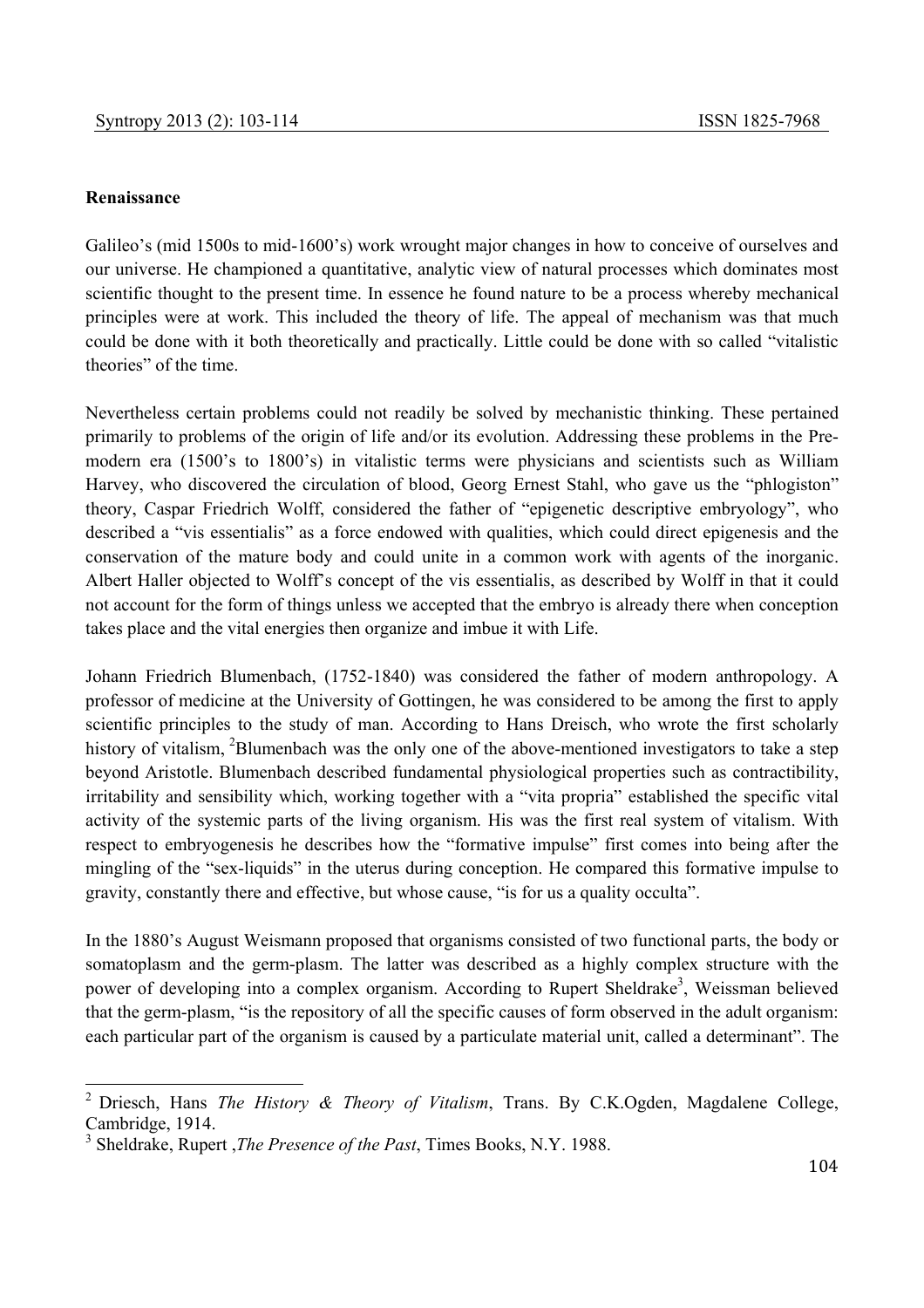## **Renaissance**

l

Galileo's (mid 1500s to mid-1600's) work wrought major changes in how to conceive of ourselves and our universe. He championed a quantitative, analytic view of natural processes which dominates most scientific thought to the present time. In essence he found nature to be a process whereby mechanical principles were at work. This included the theory of life. The appeal of mechanism was that much could be done with it both theoretically and practically. Little could be done with so called "vitalistic theories" of the time.

Nevertheless certain problems could not readily be solved by mechanistic thinking. These pertained primarily to problems of the origin of life and/or its evolution. Addressing these problems in the Premodern era (1500's to 1800's) in vitalistic terms were physicians and scientists such as William Harvey, who discovered the circulation of blood, Georg Ernest Stahl, who gave us the "phlogiston" theory, Caspar Friedrich Wolff, considered the father of "epigenetic descriptive embryology", who described a "vis essentialis" as a force endowed with qualities, which could direct epigenesis and the conservation of the mature body and could unite in a common work with agents of the inorganic. Albert Haller objected to Wolff's concept of the vis essentialis, as described by Wolff in that it could not account for the form of things unless we accepted that the embryo is already there when conception takes place and the vital energies then organize and imbue it with Life.

Johann Friedrich Blumenbach, (1752-1840) was considered the father of modern anthropology. A professor of medicine at the University of Gottingen, he was considered to be among the first to apply scientific principles to the study of man. According to Hans Dreisch, who wrote the first scholarly history of vitalism, <sup>2</sup>Blumenbach was the only one of the above-mentioned investigators to take a step beyond Aristotle. Blumenbach described fundamental physiological properties such as contractibility, irritability and sensibility which, working together with a "vita propria" established the specific vital activity of the systemic parts of the living organism. His was the first real system of vitalism. With respect to embryogenesis he describes how the "formative impulse" first comes into being after the mingling of the "sex-liquids" in the uterus during conception. He compared this formative impulse to gravity, constantly there and effective, but whose cause, "is for us a quality occulta".

In the 1880's August Weismann proposed that organisms consisted of two functional parts, the body or somatoplasm and the germ-plasm. The latter was described as a highly complex structure with the power of developing into a complex organism. According to Rupert Sheldrake<sup>3</sup>, Weissman believed that the germ-plasm, "is the repository of all the specific causes of form observed in the adult organism: each particular part of the organism is caused by a particulate material unit, called a determinant". The

<sup>2</sup> Driesch, Hans *The History & Theory of Vitalism*, Trans. By C.K.Ogden, Magdalene College, Cambridge, 1914.

<sup>3</sup> Sheldrake, Rupert ,*The Presence of the Past*, Times Books, N.Y. 1988.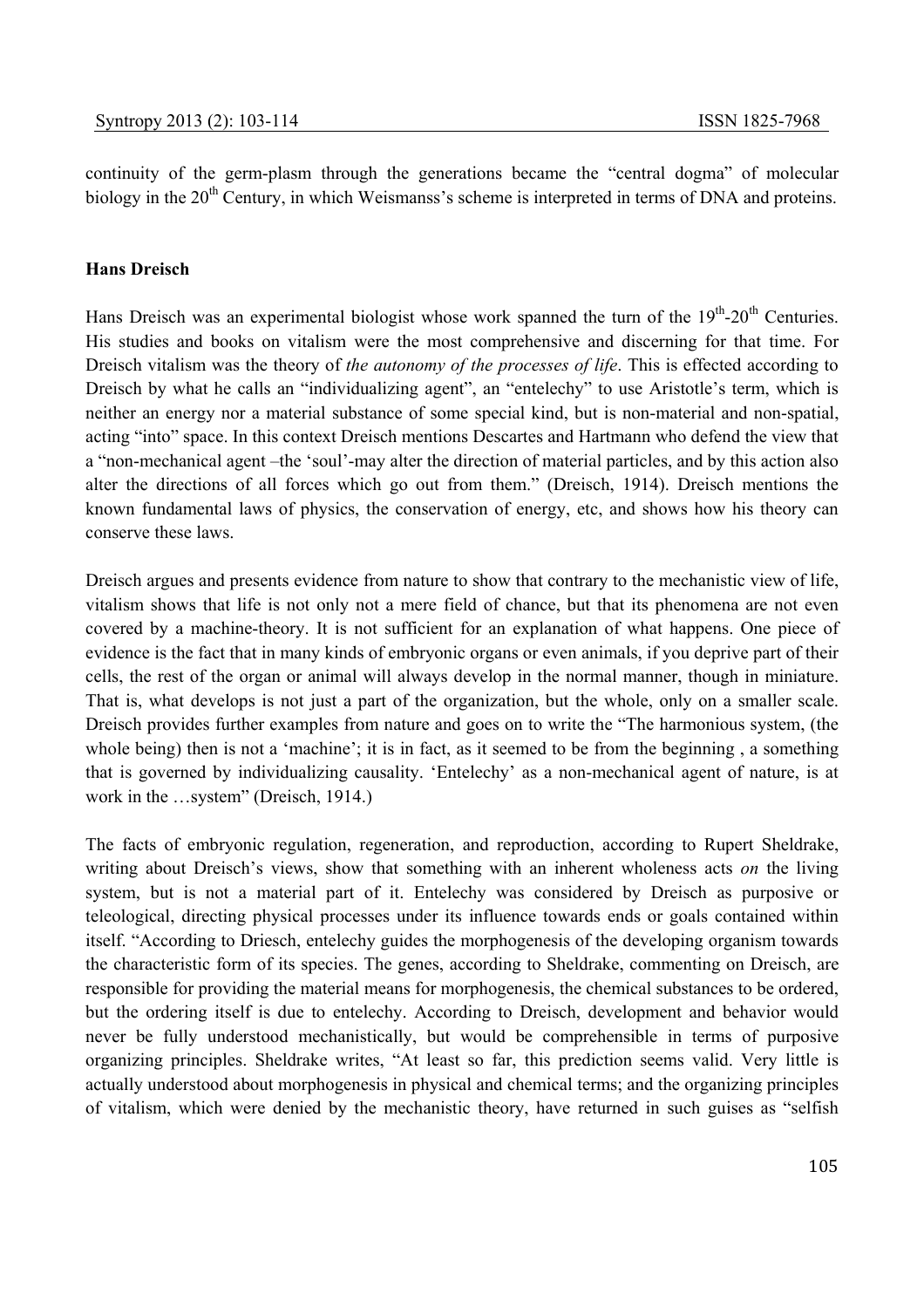continuity of the germ-plasm through the generations became the "central dogma" of molecular biology in the 20<sup>th</sup> Century, in which Weismanss's scheme is interpreted in terms of DNA and proteins.

## **Hans Dreisch**

Hans Dreisch was an experimental biologist whose work spanned the turn of the  $19<sup>th</sup>$ -20<sup>th</sup> Centuries. His studies and books on vitalism were the most comprehensive and discerning for that time. For Dreisch vitalism was the theory of *the autonomy of the processes of life*. This is effected according to Dreisch by what he calls an "individualizing agent", an "entelechy" to use Aristotle's term, which is neither an energy nor a material substance of some special kind, but is non-material and non-spatial, acting "into" space. In this context Dreisch mentions Descartes and Hartmann who defend the view that a "non-mechanical agent –the 'soul'-may alter the direction of material particles, and by this action also alter the directions of all forces which go out from them." (Dreisch, 1914). Dreisch mentions the known fundamental laws of physics, the conservation of energy, etc, and shows how his theory can conserve these laws.

Dreisch argues and presents evidence from nature to show that contrary to the mechanistic view of life, vitalism shows that life is not only not a mere field of chance, but that its phenomena are not even covered by a machine-theory. It is not sufficient for an explanation of what happens. One piece of evidence is the fact that in many kinds of embryonic organs or even animals, if you deprive part of their cells, the rest of the organ or animal will always develop in the normal manner, though in miniature. That is, what develops is not just a part of the organization, but the whole, only on a smaller scale. Dreisch provides further examples from nature and goes on to write the "The harmonious system, (the whole being) then is not a 'machine'; it is in fact, as it seemed to be from the beginning, a something that is governed by individualizing causality. 'Entelechy' as a non-mechanical agent of nature, is at work in the …system" (Dreisch, 1914.)

The facts of embryonic regulation, regeneration, and reproduction, according to Rupert Sheldrake, writing about Dreisch's views, show that something with an inherent wholeness acts *on* the living system, but is not a material part of it. Entelechy was considered by Dreisch as purposive or teleological, directing physical processes under its influence towards ends or goals contained within itself. "According to Driesch, entelechy guides the morphogenesis of the developing organism towards the characteristic form of its species. The genes, according to Sheldrake, commenting on Dreisch, are responsible for providing the material means for morphogenesis, the chemical substances to be ordered, but the ordering itself is due to entelechy. According to Dreisch, development and behavior would never be fully understood mechanistically, but would be comprehensible in terms of purposive organizing principles. Sheldrake writes, "At least so far, this prediction seems valid. Very little is actually understood about morphogenesis in physical and chemical terms; and the organizing principles of vitalism, which were denied by the mechanistic theory, have returned in such guises as "selfish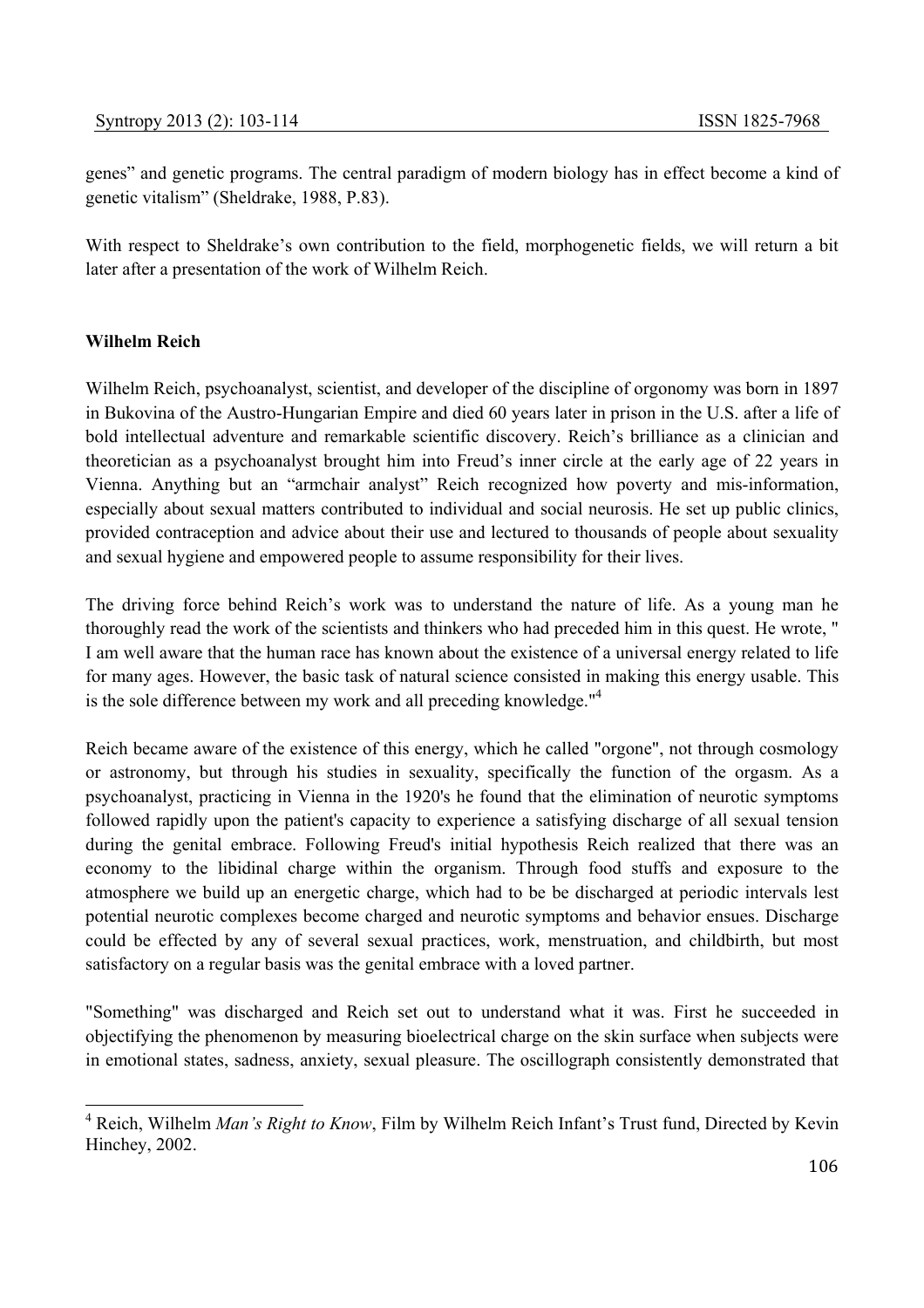genes" and genetic programs. The central paradigm of modern biology has in effect become a kind of genetic vitalism" (Sheldrake, 1988, P.83).

With respect to Sheldrake's own contribution to the field, morphogenetic fields, we will return a bit later after a presentation of the work of Wilhelm Reich.

## **Wilhelm Reich**

 $\overline{a}$ 

Wilhelm Reich, psychoanalyst, scientist, and developer of the discipline of orgonomy was born in 1897 in Bukovina of the Austro-Hungarian Empire and died 60 years later in prison in the U.S. after a life of bold intellectual adventure and remarkable scientific discovery. Reich's brilliance as a clinician and theoretician as a psychoanalyst brought him into Freud's inner circle at the early age of 22 years in Vienna. Anything but an "armchair analyst" Reich recognized how poverty and mis-information, especially about sexual matters contributed to individual and social neurosis. He set up public clinics, provided contraception and advice about their use and lectured to thousands of people about sexuality and sexual hygiene and empowered people to assume responsibility for their lives.

The driving force behind Reich's work was to understand the nature of life. As a young man he thoroughly read the work of the scientists and thinkers who had preceded him in this quest. He wrote, " I am well aware that the human race has known about the existence of a universal energy related to life for many ages. However, the basic task of natural science consisted in making this energy usable. This is the sole difference between my work and all preceding knowledge."4

Reich became aware of the existence of this energy, which he called "orgone", not through cosmology or astronomy, but through his studies in sexuality, specifically the function of the orgasm. As a psychoanalyst, practicing in Vienna in the 1920's he found that the elimination of neurotic symptoms followed rapidly upon the patient's capacity to experience a satisfying discharge of all sexual tension during the genital embrace. Following Freud's initial hypothesis Reich realized that there was an economy to the libidinal charge within the organism. Through food stuffs and exposure to the atmosphere we build up an energetic charge, which had to be be discharged at periodic intervals lest potential neurotic complexes become charged and neurotic symptoms and behavior ensues. Discharge could be effected by any of several sexual practices, work, menstruation, and childbirth, but most satisfactory on a regular basis was the genital embrace with a loved partner.

"Something" was discharged and Reich set out to understand what it was. First he succeeded in objectifying the phenomenon by measuring bioelectrical charge on the skin surface when subjects were in emotional states, sadness, anxiety, sexual pleasure. The oscillograph consistently demonstrated that

<sup>&</sup>lt;sup>4</sup> Reich, Wilhelm *Man's Right to Know*, Film by Wilhelm Reich Infant's Trust fund, Directed by Kevin Hinchey, 2002.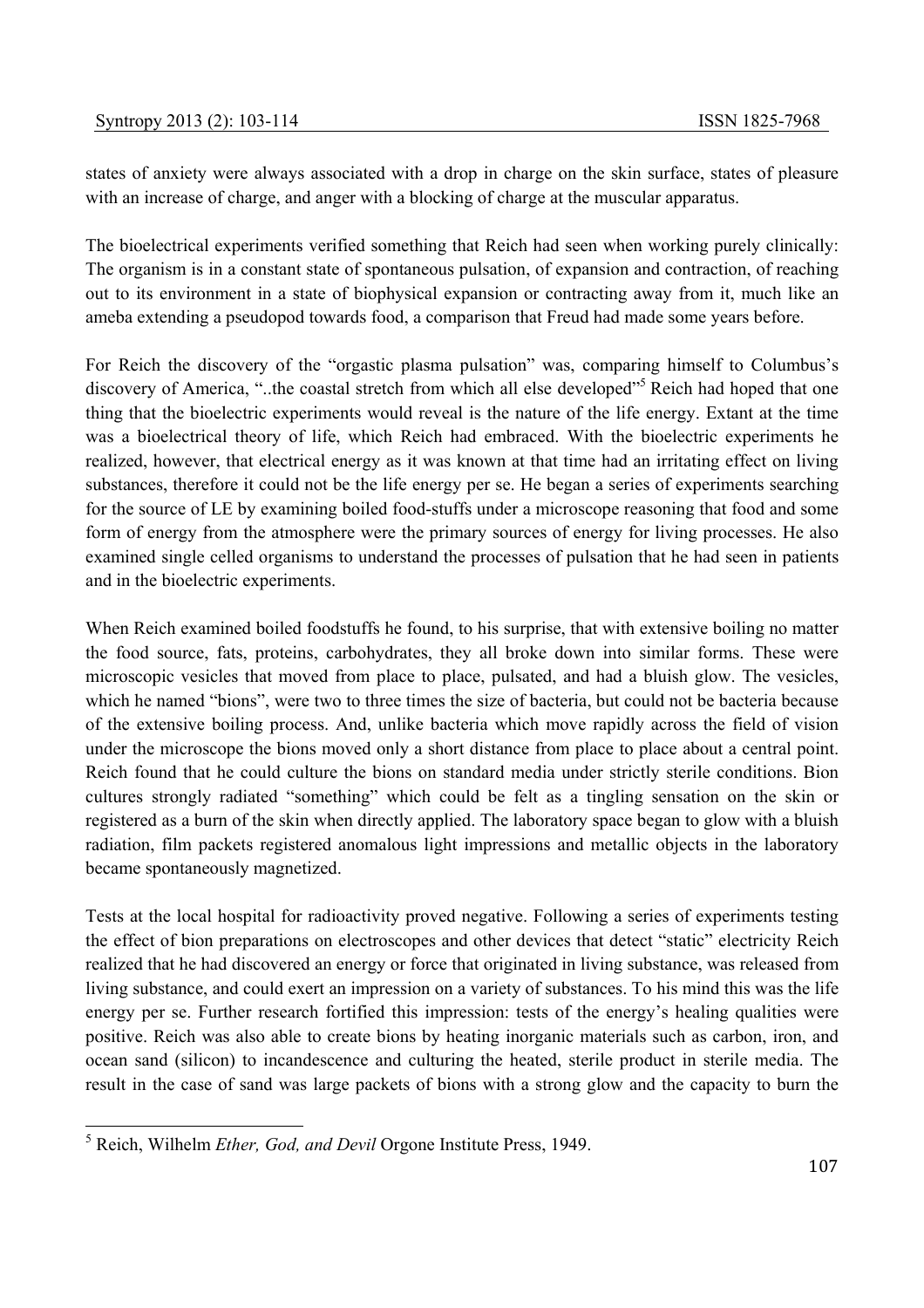states of anxiety were always associated with a drop in charge on the skin surface, states of pleasure with an increase of charge, and anger with a blocking of charge at the muscular apparatus.

The bioelectrical experiments verified something that Reich had seen when working purely clinically: The organism is in a constant state of spontaneous pulsation, of expansion and contraction, of reaching out to its environment in a state of biophysical expansion or contracting away from it, much like an ameba extending a pseudopod towards food, a comparison that Freud had made some years before.

For Reich the discovery of the "orgastic plasma pulsation" was, comparing himself to Columbus's discovery of America, "..the coastal stretch from which all else developed"<sup>5</sup> Reich had hoped that one thing that the bioelectric experiments would reveal is the nature of the life energy. Extant at the time was a bioelectrical theory of life, which Reich had embraced. With the bioelectric experiments he realized, however, that electrical energy as it was known at that time had an irritating effect on living substances, therefore it could not be the life energy per se. He began a series of experiments searching for the source of LE by examining boiled food-stuffs under a microscope reasoning that food and some form of energy from the atmosphere were the primary sources of energy for living processes. He also examined single celled organisms to understand the processes of pulsation that he had seen in patients and in the bioelectric experiments.

When Reich examined boiled foodstuffs he found, to his surprise, that with extensive boiling no matter the food source, fats, proteins, carbohydrates, they all broke down into similar forms. These were microscopic vesicles that moved from place to place, pulsated, and had a bluish glow. The vesicles, which he named "bions", were two to three times the size of bacteria, but could not be bacteria because of the extensive boiling process. And, unlike bacteria which move rapidly across the field of vision under the microscope the bions moved only a short distance from place to place about a central point. Reich found that he could culture the bions on standard media under strictly sterile conditions. Bion cultures strongly radiated "something" which could be felt as a tingling sensation on the skin or registered as a burn of the skin when directly applied. The laboratory space began to glow with a bluish radiation, film packets registered anomalous light impressions and metallic objects in the laboratory became spontaneously magnetized.

Tests at the local hospital for radioactivity proved negative. Following a series of experiments testing the effect of bion preparations on electroscopes and other devices that detect "static" electricity Reich realized that he had discovered an energy or force that originated in living substance, was released from living substance, and could exert an impression on a variety of substances. To his mind this was the life energy per se. Further research fortified this impression: tests of the energy's healing qualities were positive. Reich was also able to create bions by heating inorganic materials such as carbon, iron, and ocean sand (silicon) to incandescence and culturing the heated, sterile product in sterile media. The result in the case of sand was large packets of bions with a strong glow and the capacity to burn the

 5 Reich, Wilhelm *Ether, God, and Devil* Orgone Institute Press, 1949.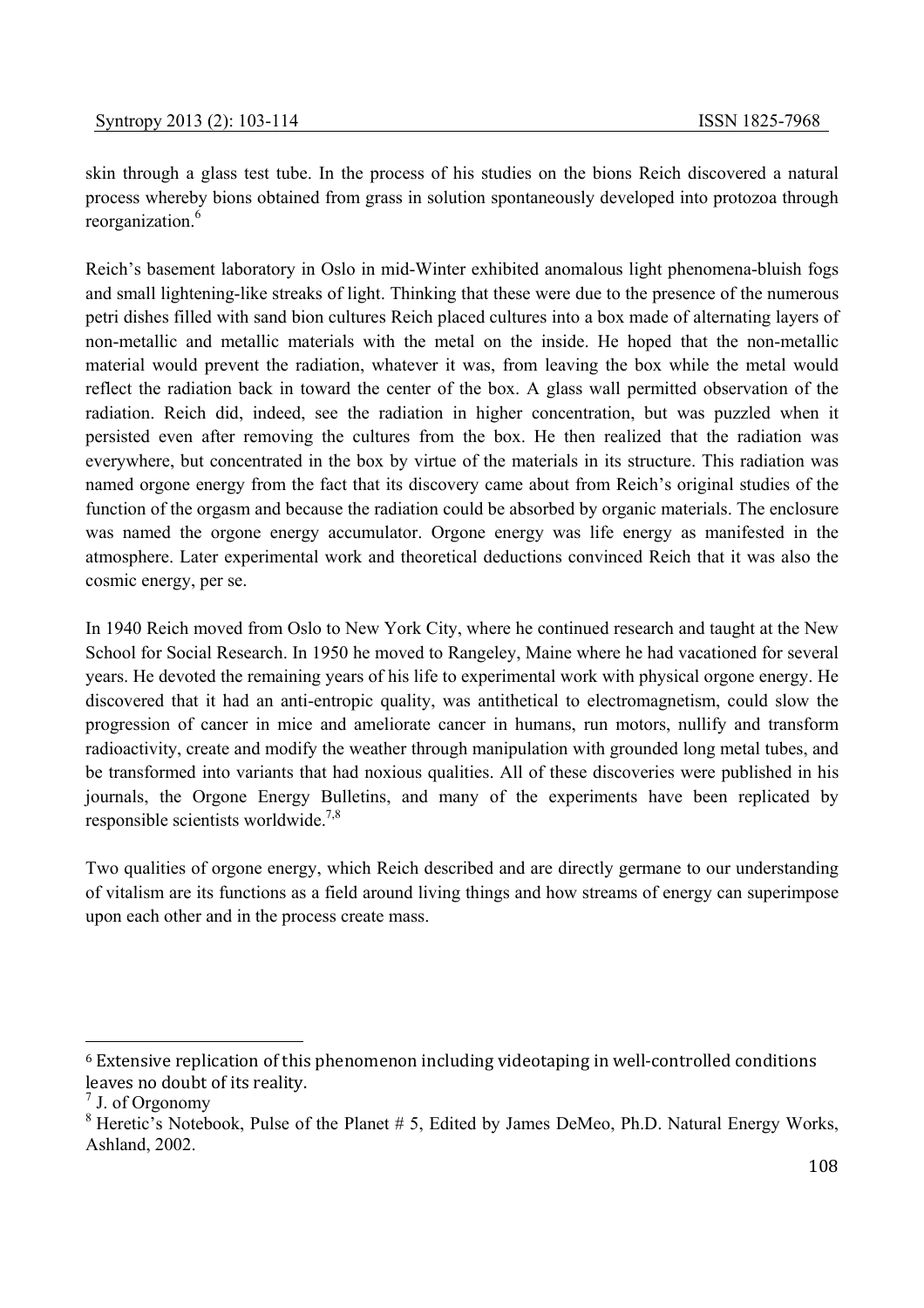skin through a glass test tube. In the process of his studies on the bions Reich discovered a natural process whereby bions obtained from grass in solution spontaneously developed into protozoa through reorganization.<sup>6</sup>

Reich's basement laboratory in Oslo in mid-Winter exhibited anomalous light phenomena-bluish fogs and small lightening-like streaks of light. Thinking that these were due to the presence of the numerous petri dishes filled with sand bion cultures Reich placed cultures into a box made of alternating layers of non-metallic and metallic materials with the metal on the inside. He hoped that the non-metallic material would prevent the radiation, whatever it was, from leaving the box while the metal would reflect the radiation back in toward the center of the box. A glass wall permitted observation of the radiation. Reich did, indeed, see the radiation in higher concentration, but was puzzled when it persisted even after removing the cultures from the box. He then realized that the radiation was everywhere, but concentrated in the box by virtue of the materials in its structure. This radiation was named orgone energy from the fact that its discovery came about from Reich's original studies of the function of the orgasm and because the radiation could be absorbed by organic materials. The enclosure was named the orgone energy accumulator. Orgone energy was life energy as manifested in the atmosphere. Later experimental work and theoretical deductions convinced Reich that it was also the cosmic energy, per se.

In 1940 Reich moved from Oslo to New York City, where he continued research and taught at the New School for Social Research. In 1950 he moved to Rangeley, Maine where he had vacationed for several years. He devoted the remaining years of his life to experimental work with physical orgone energy. He discovered that it had an anti-entropic quality, was antithetical to electromagnetism, could slow the progression of cancer in mice and ameliorate cancer in humans, run motors, nullify and transform radioactivity, create and modify the weather through manipulation with grounded long metal tubes, and be transformed into variants that had noxious qualities. All of these discoveries were published in his journals, the Orgone Energy Bulletins, and many of the experiments have been replicated by responsible scientists worldwide.<sup>7,8</sup>

Two qualities of orgone energy, which Reich described and are directly germane to our understanding of vitalism are its functions as a field around living things and how streams of energy can superimpose upon each other and in the process create mass.

l

<sup>6</sup> Extensive replication of this phenomenon including videotaping in well‐controlled conditions leaves no doubt of its reality.

<sup>7</sup> J. of Orgonomy

 $8$  Heretic's Notebook, Pulse of the Planet # 5, Edited by James DeMeo, Ph.D. Natural Energy Works, Ashland, 2002.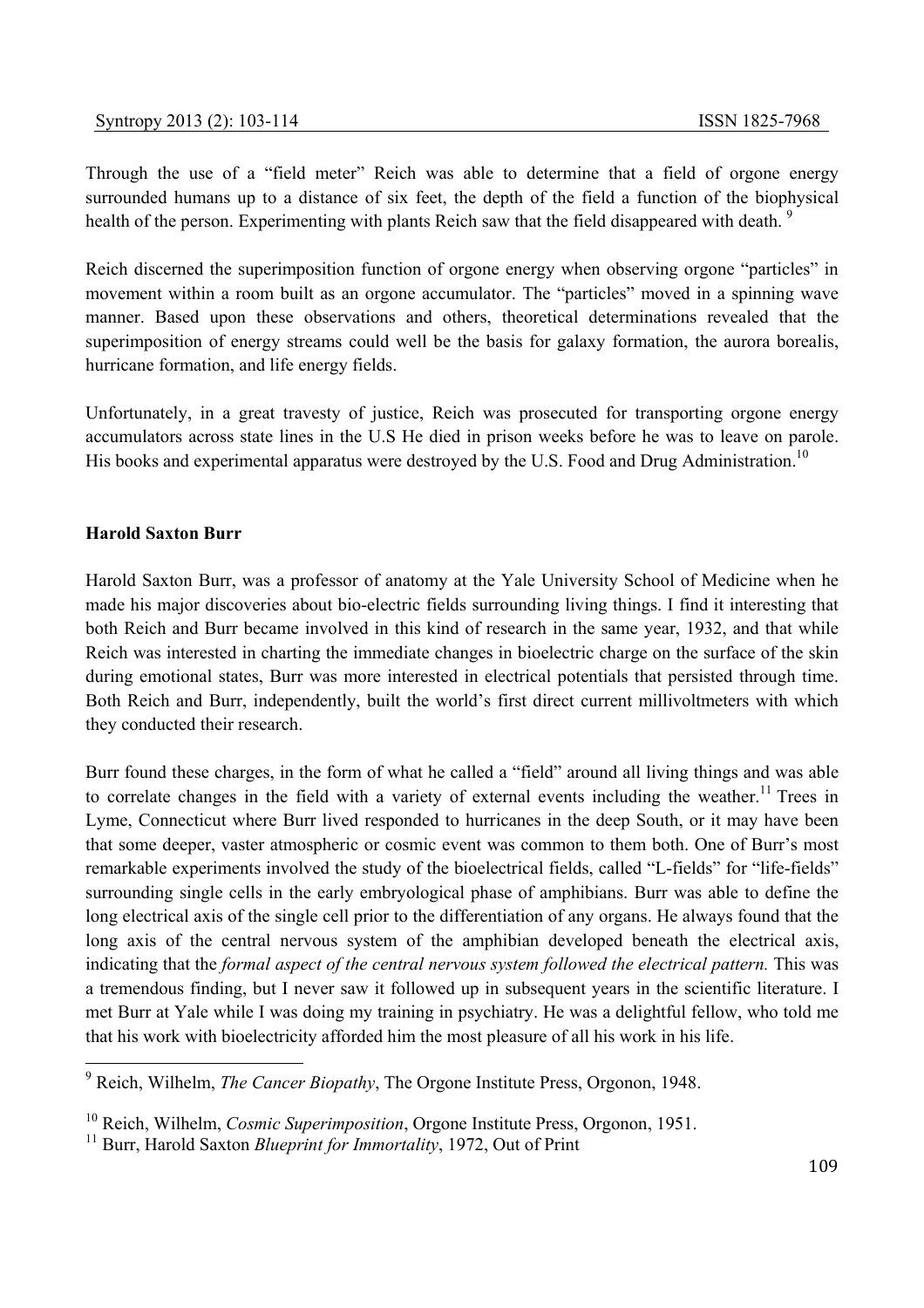Through the use of a "field meter" Reich was able to determine that a field of orgone energy surrounded humans up to a distance of six feet, the depth of the field a function of the biophysical health of the person. Experimenting with plants Reich saw that the field disappeared with death.<sup>9</sup>

Reich discerned the superimposition function of orgone energy when observing orgone "particles" in movement within a room built as an orgone accumulator. The "particles" moved in a spinning wave manner. Based upon these observations and others, theoretical determinations revealed that the superimposition of energy streams could well be the basis for galaxy formation, the aurora borealis, hurricane formation, and life energy fields.

Unfortunately, in a great travesty of justice, Reich was prosecuted for transporting orgone energy accumulators across state lines in the U.S He died in prison weeks before he was to leave on parole. His books and experimental apparatus were destroyed by the U.S. Food and Drug Administration.<sup>10</sup>

## **Harold Saxton Burr**

Harold Saxton Burr, was a professor of anatomy at the Yale University School of Medicine when he made his major discoveries about bio-electric fields surrounding living things. I find it interesting that both Reich and Burr became involved in this kind of research in the same year, 1932, and that while Reich was interested in charting the immediate changes in bioelectric charge on the surface of the skin during emotional states, Burr was more interested in electrical potentials that persisted through time. Both Reich and Burr, independently, built the world's first direct current millivoltmeters with which they conducted their research.

Burr found these charges, in the form of what he called a "field" around all living things and was able to correlate changes in the field with a variety of external events including the weather.<sup>11</sup> Trees in Lyme, Connecticut where Burr lived responded to hurricanes in the deep South, or it may have been that some deeper, vaster atmospheric or cosmic event was common to them both. One of Burr's most remarkable experiments involved the study of the bioelectrical fields, called "L-fields" for "life-fields" surrounding single cells in the early embryological phase of amphibians. Burr was able to define the long electrical axis of the single cell prior to the differentiation of any organs. He always found that the long axis of the central nervous system of the amphibian developed beneath the electrical axis, indicating that the *formal aspect of the central nervous system followed the electrical pattern.* This was a tremendous finding, but I never saw it followed up in subsequent years in the scientific literature. I met Burr at Yale while I was doing my training in psychiatry. He was a delightful fellow, who told me that his work with bioelectricity afforded him the most pleasure of all his work in his life.

9 Reich, Wilhelm, *The Cancer Biopathy*, The Orgone Institute Press, Orgonon, 1948.

<sup>10</sup> Reich, Wilhelm, *Cosmic Superimposition*, Orgone Institute Press, Orgonon, 1951.

<sup>&</sup>lt;sup>11</sup> Burr, Harold Saxton *Blueprint for Immortality*, 1972, Out of Print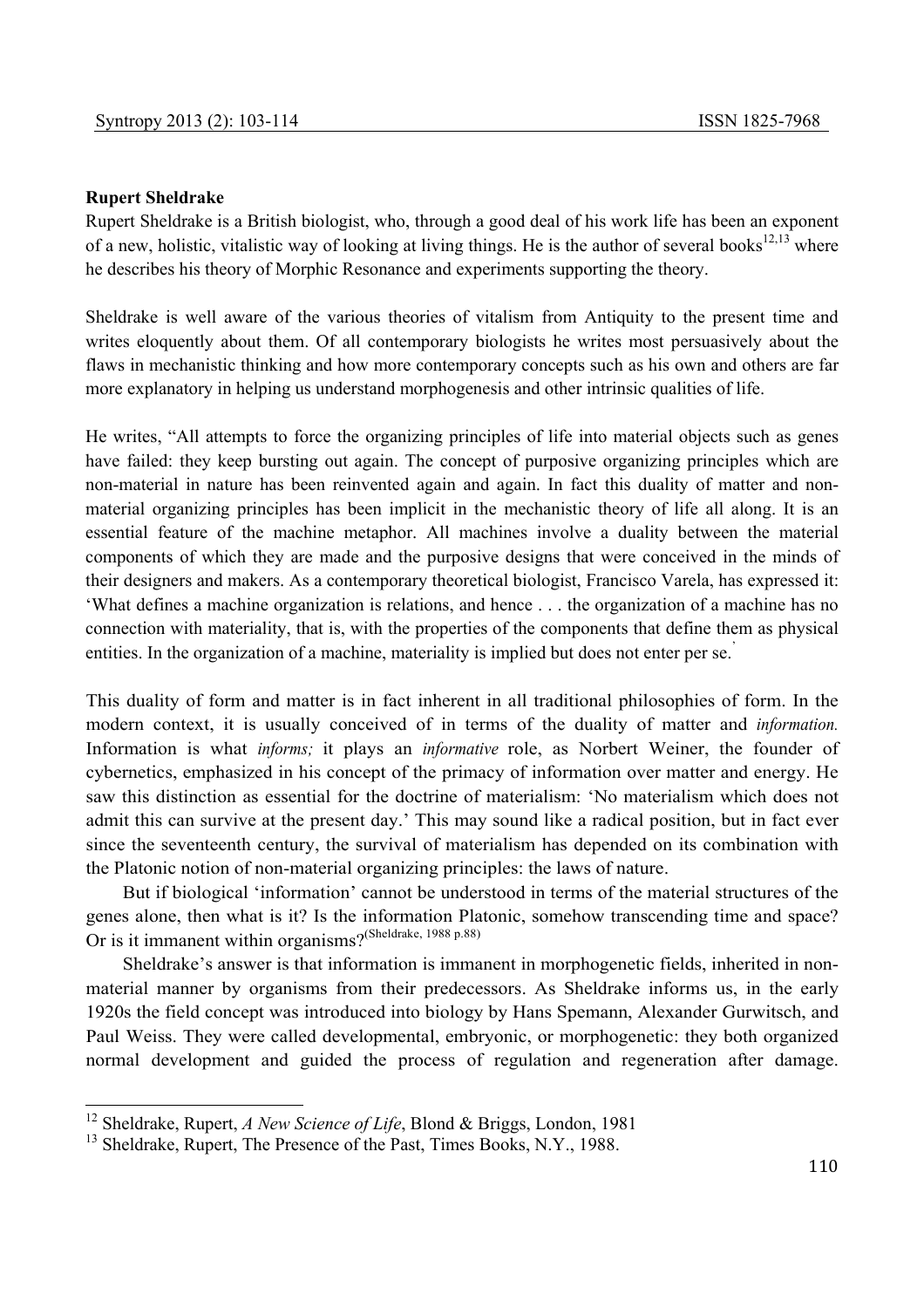## **Rupert Sheldrake**

 $\overline{a}$ 

Rupert Sheldrake is a British biologist, who, through a good deal of his work life has been an exponent of a new, holistic, vitalistic way of looking at living things. He is the author of several books $12,13$  where he describes his theory of Morphic Resonance and experiments supporting the theory.

Sheldrake is well aware of the various theories of vitalism from Antiquity to the present time and writes eloquently about them. Of all contemporary biologists he writes most persuasively about the flaws in mechanistic thinking and how more contemporary concepts such as his own and others are far more explanatory in helping us understand morphogenesis and other intrinsic qualities of life.

He writes, "All attempts to force the organizing principles of life into material objects such as genes have failed: they keep bursting out again. The concept of purposive organizing principles which are non-material in nature has been reinvented again and again. In fact this duality of matter and nonmaterial organizing principles has been implicit in the mechanistic theory of life all along. It is an essential feature of the machine metaphor. All machines involve a duality between the material components of which they are made and the purposive designs that were conceived in the minds of their designers and makers. As a contemporary theoretical biologist, Francisco Varela, has expressed it: 'What defines a machine organization is relations, and hence . . . the organization of a machine has no connection with materiality, that is, with the properties of the components that define them as physical entities. In the organization of a machine, materiality is implied but does not enter per se.'

This duality of form and matter is in fact inherent in all traditional philosophies of form. In the modern context, it is usually conceived of in terms of the duality of matter and *information.*  Information is what *informs;* it plays an *informative* role, as Norbert Weiner, the founder of cybernetics, emphasized in his concept of the primacy of information over matter and energy. He saw this distinction as essential for the doctrine of materialism: 'No materialism which does not admit this can survive at the present day.' This may sound like a radical position, but in fact ever since the seventeenth century, the survival of materialism has depended on its combination with the Platonic notion of non-material organizing principles: the laws of nature.

But if biological 'information' cannot be understood in terms of the material structures of the genes alone, then what is it? Is the information Platonic, somehow transcending time and space? Or is it immanent within organisms?<sup>(Sheldrake, 1988 p.88)</sup>

Sheldrake's answer is that information is immanent in morphogenetic fields, inherited in nonmaterial manner by organisms from their predecessors. As Sheldrake informs us, in the early 1920s the field concept was introduced into biology by Hans Spemann, Alexander Gurwitsch, and Paul Weiss. They were called developmental, embryonic, or morphogenetic: they both organized normal development and guided the process of regulation and regeneration after damage.

<sup>12</sup> Sheldrake, Rupert, *A New Science of Life*, Blond & Briggs, London, 1981

<sup>&</sup>lt;sup>13</sup> Sheldrake, Rupert, The Presence of the Past, Times Books, N.Y., 1988.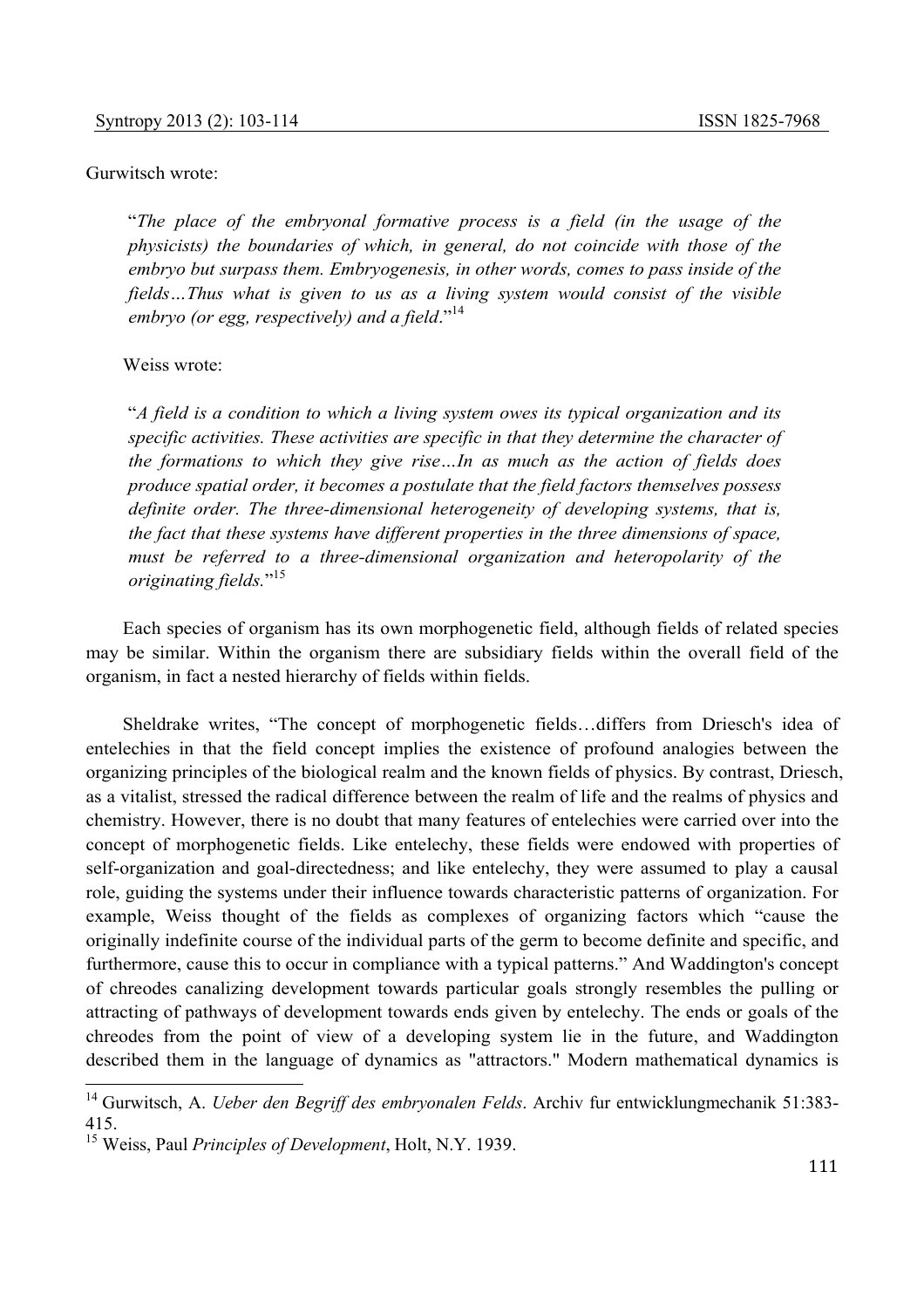Gurwitsch wrote:

"*The place of the embryonal formative process is a field (in the usage of the physicists) the boundaries of which, in general, do not coincide with those of the embryo but surpass them. Embryogenesis, in other words, comes to pass inside of the fields…Thus what is given to us as a living system would consist of the visible embryo (or egg, respectively) and a field.*<sup>14</sup>

#### Weiss wrote:

l

"*A field is a condition to which a living system owes its typical organization and its specific activities. These activities are specific in that they determine the character of the formations to which they give rise…In as much as the action of fields does produce spatial order, it becomes a postulate that the field factors themselves possess definite order. The three-dimensional heterogeneity of developing systems, that is, the fact that these systems have different properties in the three dimensions of space, must be referred to a three-dimensional organization and heteropolarity of the originating fields.*" 15

Each species of organism has its own morphogenetic field, although fields of related species may be similar. Within the organism there are subsidiary fields within the overall field of the organism, in fact a nested hierarchy of fields within fields.

Sheldrake writes, "The concept of morphogenetic fields…differs from Driesch's idea of entelechies in that the field concept implies the existence of profound analogies between the organizing principles of the biological realm and the known fields of physics. By contrast, Driesch, as a vitalist, stressed the radical difference between the realm of life and the realms of physics and chemistry. However, there is no doubt that many features of entelechies were carried over into the concept of morphogenetic fields. Like entelechy, these fields were endowed with properties of self-organization and goal-directedness; and like entelechy, they were assumed to play a causal role, guiding the systems under their influence towards characteristic patterns of organization. For example, Weiss thought of the fields as complexes of organizing factors which "cause the originally indefinite course of the individual parts of the germ to become definite and specific, and furthermore, cause this to occur in compliance with a typical patterns." And Waddington's concept of chreodes canalizing development towards particular goals strongly resembles the pulling or attracting of pathways of development towards ends given by entelechy. The ends or goals of the chreodes from the point of view of a developing system lie in the future, and Waddington described them in the language of dynamics as "attractors." Modern mathematical dynamics is

<sup>14</sup> Gurwitsch, A. *Ueber den Begriff des embryonalen Felds*. Archiv fur entwicklungmechanik 51:383- 415.

<sup>15</sup> Weiss, Paul *Principles of Development*, Holt, N.Y. 1939.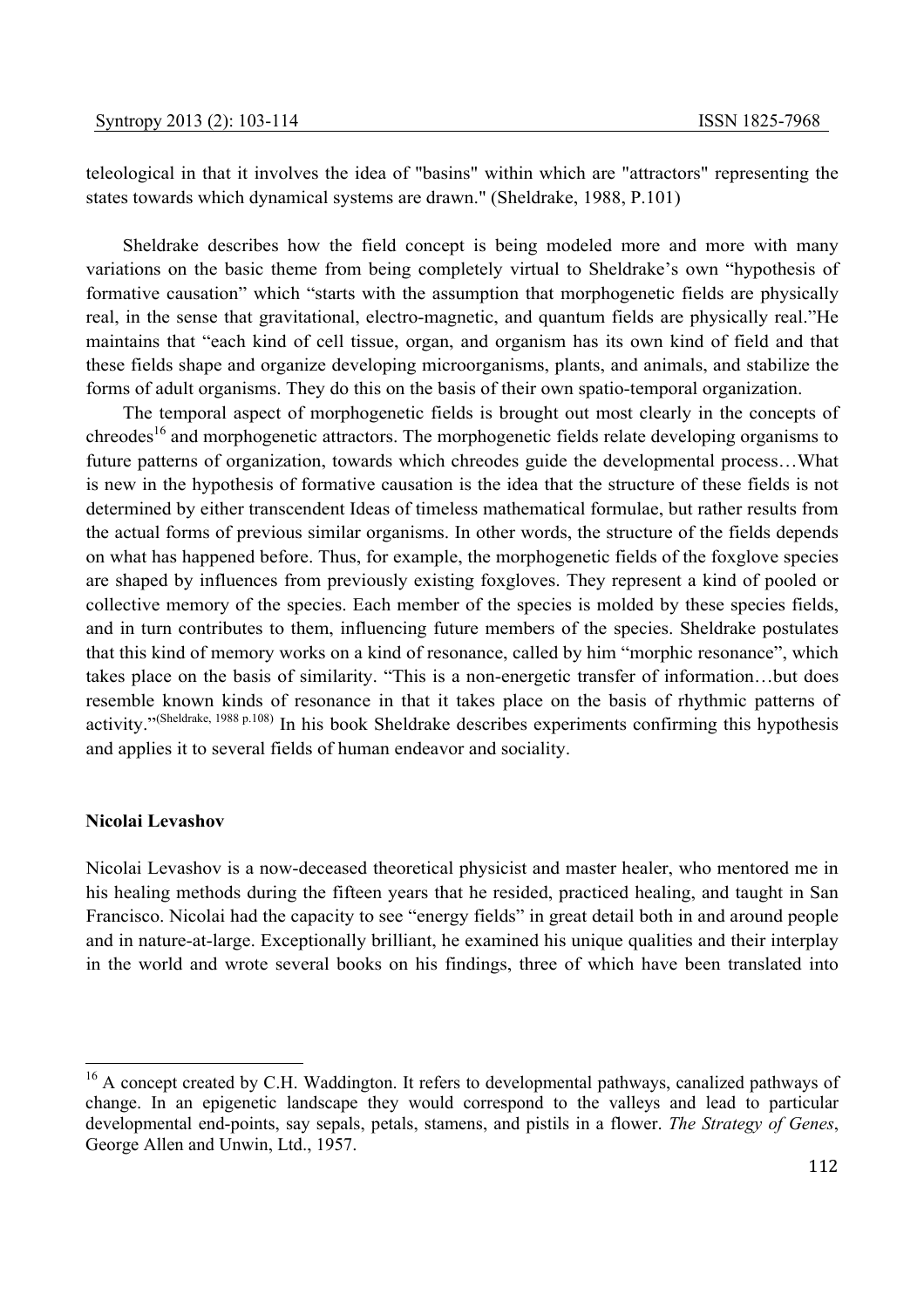teleological in that it involves the idea of "basins" within which are "attractors" representing the states towards which dynamical systems are drawn." (Sheldrake, 1988, P.101)

Sheldrake describes how the field concept is being modeled more and more with many variations on the basic theme from being completely virtual to Sheldrake's own "hypothesis of formative causation" which "starts with the assumption that morphogenetic fields are physically real, in the sense that gravitational, electro-magnetic, and quantum fields are physically real."He maintains that "each kind of cell tissue, organ, and organism has its own kind of field and that these fields shape and organize developing microorganisms, plants, and animals, and stabilize the forms of adult organisms. They do this on the basis of their own spatio-temporal organization.

The temporal aspect of morphogenetic fields is brought out most clearly in the concepts of  $chreodes<sup>16</sup>$  and morphogenetic attractors. The morphogenetic fields relate developing organisms to future patterns of organization, towards which chreodes guide the developmental process…What is new in the hypothesis of formative causation is the idea that the structure of these fields is not determined by either transcendent Ideas of timeless mathematical formulae, but rather results from the actual forms of previous similar organisms. In other words, the structure of the fields depends on what has happened before. Thus, for example, the morphogenetic fields of the foxglove species are shaped by influences from previously existing foxgloves. They represent a kind of pooled or collective memory of the species. Each member of the species is molded by these species fields, and in turn contributes to them, influencing future members of the species. Sheldrake postulates that this kind of memory works on a kind of resonance, called by him "morphic resonance", which takes place on the basis of similarity. "This is a non-energetic transfer of information…but does resemble known kinds of resonance in that it takes place on the basis of rhythmic patterns of activity."(Sheldrake, 1988 p.108) In his book Sheldrake describes experiments confirming this hypothesis and applies it to several fields of human endeavor and sociality.

## **Nicolai Levashov**

 $\overline{a}$ 

Nicolai Levashov is a now-deceased theoretical physicist and master healer, who mentored me in his healing methods during the fifteen years that he resided, practiced healing, and taught in San Francisco. Nicolai had the capacity to see "energy fields" in great detail both in and around people and in nature-at-large. Exceptionally brilliant, he examined his unique qualities and their interplay in the world and wrote several books on his findings, three of which have been translated into

 $16$  A concept created by C.H. Waddington. It refers to developmental pathways, canalized pathways of change. In an epigenetic landscape they would correspond to the valleys and lead to particular developmental end-points, say sepals, petals, stamens, and pistils in a flower. *The Strategy of Genes*, George Allen and Unwin, Ltd., 1957.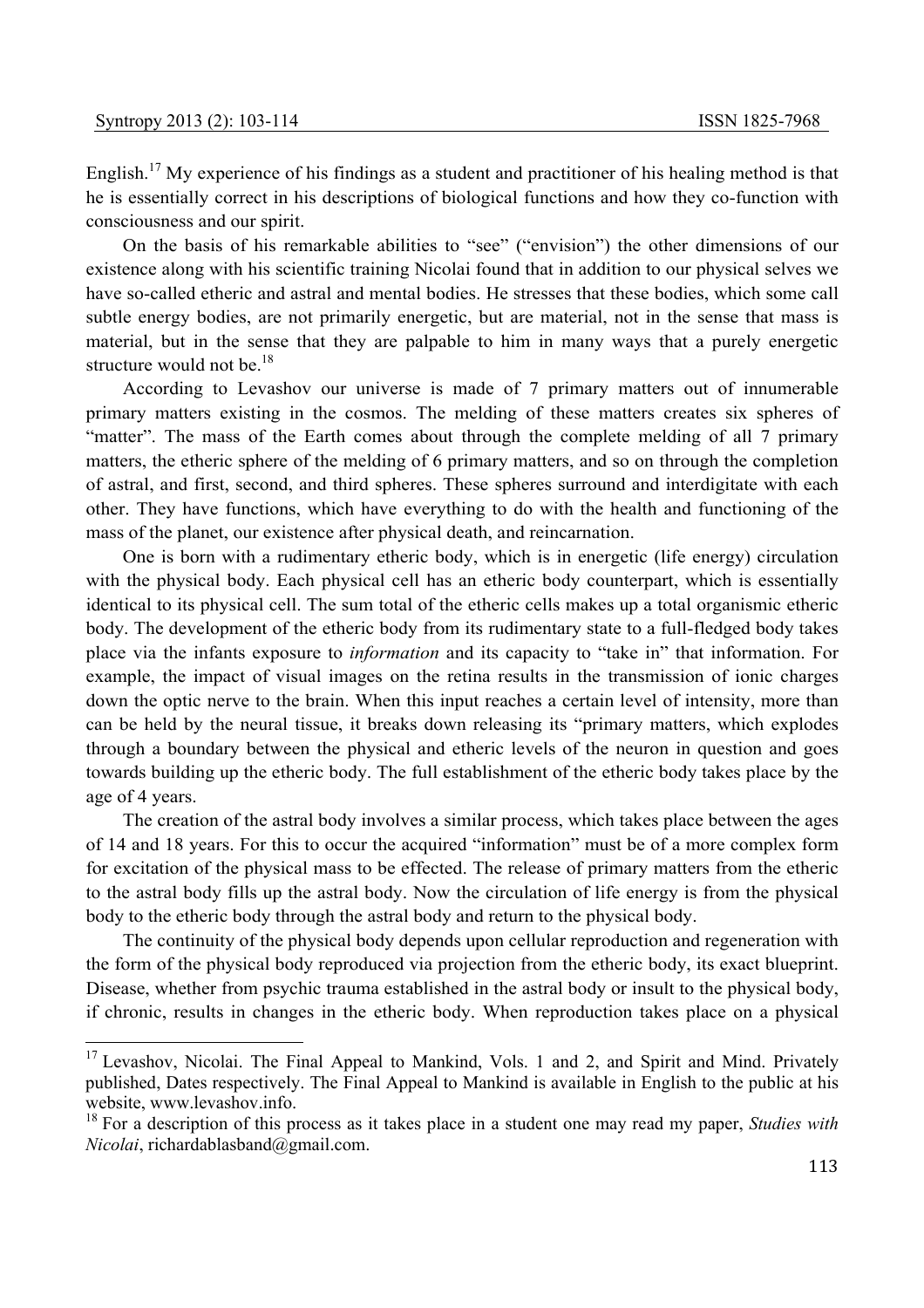$\overline{a}$ 

English.<sup>17</sup> My experience of his findings as a student and practitioner of his healing method is that he is essentially correct in his descriptions of biological functions and how they co-function with consciousness and our spirit.

On the basis of his remarkable abilities to "see" ("envision") the other dimensions of our existence along with his scientific training Nicolai found that in addition to our physical selves we have so-called etheric and astral and mental bodies. He stresses that these bodies, which some call subtle energy bodies, are not primarily energetic, but are material, not in the sense that mass is material, but in the sense that they are palpable to him in many ways that a purely energetic structure would not be. $18$ 

According to Levashov our universe is made of 7 primary matters out of innumerable primary matters existing in the cosmos. The melding of these matters creates six spheres of "matter". The mass of the Earth comes about through the complete melding of all 7 primary matters, the etheric sphere of the melding of 6 primary matters, and so on through the completion of astral, and first, second, and third spheres. These spheres surround and interdigitate with each other. They have functions, which have everything to do with the health and functioning of the mass of the planet, our existence after physical death, and reincarnation.

One is born with a rudimentary etheric body, which is in energetic (life energy) circulation with the physical body. Each physical cell has an etheric body counterpart, which is essentially identical to its physical cell. The sum total of the etheric cells makes up a total organismic etheric body. The development of the etheric body from its rudimentary state to a full-fledged body takes place via the infants exposure to *information* and its capacity to "take in" that information. For example, the impact of visual images on the retina results in the transmission of ionic charges down the optic nerve to the brain. When this input reaches a certain level of intensity, more than can be held by the neural tissue, it breaks down releasing its "primary matters, which explodes through a boundary between the physical and etheric levels of the neuron in question and goes towards building up the etheric body. The full establishment of the etheric body takes place by the age of 4 years.

The creation of the astral body involves a similar process, which takes place between the ages of 14 and 18 years. For this to occur the acquired "information" must be of a more complex form for excitation of the physical mass to be effected. The release of primary matters from the etheric to the astral body fills up the astral body. Now the circulation of life energy is from the physical body to the etheric body through the astral body and return to the physical body.

The continuity of the physical body depends upon cellular reproduction and regeneration with the form of the physical body reproduced via projection from the etheric body, its exact blueprint. Disease, whether from psychic trauma established in the astral body or insult to the physical body, if chronic, results in changes in the etheric body. When reproduction takes place on a physical

<sup>&</sup>lt;sup>17</sup> Levashov, Nicolai. The Final Appeal to Mankind, Vols. 1 and 2, and Spirit and Mind. Privately published, Dates respectively. The Final Appeal to Mankind is available in English to the public at his website, www.levashov.info.

<sup>18</sup> For a description of this process as it takes place in a student one may read my paper, *Studies with Nicolai*, richardablasband@gmail.com.